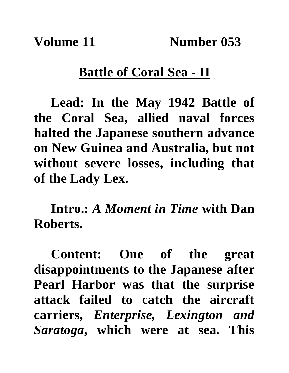## **Battle of Coral Sea - II**

**Lead: In the May 1942 Battle of the Coral Sea, allied naval forces halted the Japanese southern advance on New Guinea and Australia, but not without severe losses, including that of the Lady Lex.**

**Intro.:** *A Moment in Time* **with Dan Roberts.**

**Content: One of the great disappointments to the Japanese after Pearl Harbor was that the surprise attack failed to catch the aircraft carriers,** *Enterprise, Lexington and Saratoga***, which were at sea. This**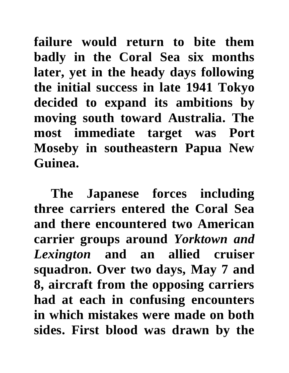**failure would return to bite them badly in the Coral Sea six months later, yet in the heady days following the initial success in late 1941 Tokyo decided to expand its ambitions by moving south toward Australia. The most immediate target was Port Moseby in southeastern Papua New Guinea.**

**The Japanese forces including three carriers entered the Coral Sea and there encountered two American carrier groups around** *Yorktown and Lexington* **and an allied cruiser squadron. Over two days, May 7 and 8, aircraft from the opposing carriers had at each in confusing encounters in which mistakes were made on both sides. First blood was drawn by the**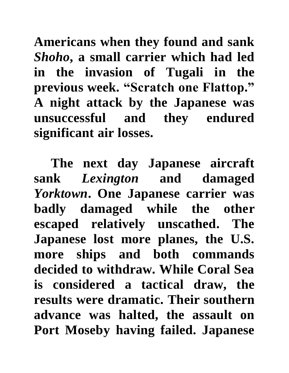**Americans when they found and sank**  *Shoho***, a small carrier which had led in the invasion of Tugali in the previous week. "Scratch one Flattop." A night attack by the Japanese was unsuccessful and they endured significant air losses.** 

**The next day Japanese aircraft sank** *Lexington* **and damaged**  *Yorktown***. One Japanese carrier was badly damaged while the other escaped relatively unscathed. The Japanese lost more planes, the U.S. more ships and both commands decided to withdraw. While Coral Sea is considered a tactical draw, the results were dramatic. Their southern advance was halted, the assault on Port Moseby having failed. Japanese**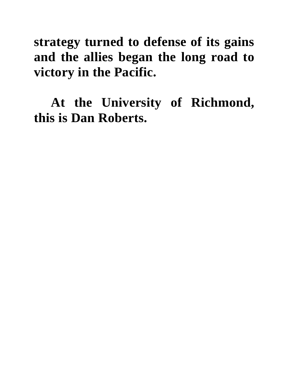## **strategy turned to defense of its gains and the allies began the long road to victory in the Pacific.**

**At the University of Richmond, this is Dan Roberts.**